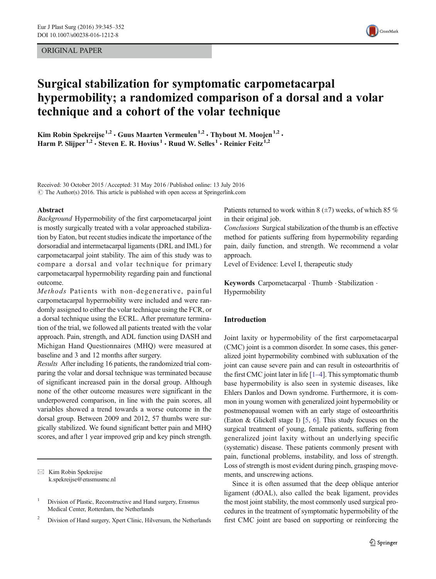## ORIGINAL PAPER



# Surgical stabilization for symptomatic carpometacarpal hypermobility; a randomized comparison of a dorsal and a volar technique and a cohort of the volar technique

Kim Robin Spekreijse  $1,2$   $\cdot$  Guus Maarten Vermeulen  $1,2$   $\cdot$  Thybout M. Moojen  $1,2$   $\cdot$ Harm P. Slijper<sup>1,2</sup> · Steven E. R. Hovius<sup>1</sup> · Ruud W. Selles<sup>1</sup> · Reinier Feitz<sup>1,2</sup>

Received: 30 October 2015 /Accepted: 31 May 2016 /Published online: 13 July 2016  $\odot$  The Author(s) 2016. This article is published with open access at Springerlink.com

#### Abstract

Background Hypermobility of the first carpometacarpal joint is mostly surgically treated with a volar approached stabilization by Eaton, but recent studies indicate the importance of the dorsoradial and intermetacarpal ligaments (DRL and IML) for carpometacarpal joint stability. The aim of this study was to compare a dorsal and volar technique for primary carpometacarpal hypermobility regarding pain and functional outcome.

Methods Patients with non-degenerative, painful carpometacarpal hypermobility were included and were randomly assigned to either the volar technique using the FCR, or a dorsal technique using the ECRL. After premature termination of the trial, we followed all patients treated with the volar approach. Pain, strength, and ADL function using DASH and Michigan Hand Questionnaires (MHQ) were measured at baseline and 3 and 12 months after surgery.

Results After including 16 patients, the randomized trial comparing the volar and dorsal technique was terminated because of significant increased pain in the dorsal group. Although none of the other outcome measures were significant in the underpowered comparison, in line with the pain scores, all variables showed a trend towards a worse outcome in the dorsal group. Between 2009 and 2012, 57 thumbs were surgically stabilized. We found significant better pain and MHQ scores, and after 1 year improved grip and key pinch strength.

 $\boxtimes$  Kim Robin Spekreijse k.spekreijse@erasmusmc.nl

<sup>2</sup> Division of Hand surgery, Xpert Clinic, Hilversum, the Netherlands

Patients returned to work within 8  $(\pm 7)$  weeks, of which 85 % in their original job.

Conclusions Surgical stabilization of the thumb is an effective method for patients suffering from hypermobility regarding pain, daily function, and strength. We recommend a volar approach.

Level of Evidence: Level I, therapeutic study

Keywords Carpometacarpal . Thumb . Stabilization . Hypermobility

## Introduction

Joint laxity or hypermobility of the first carpometacarpal (CMC) joint is a common disorder. In some cases, this generalized joint hypermobility combined with subluxation of the joint can cause severe pain and can result in osteoarthritis of the first CMC joint later in life [\[1](#page-6-0)–[4\]](#page-6-0). This symptomatic thumb base hypermobility is also seen in systemic diseases, like Ehlers Danlos and Down syndrome. Furthermore, it is common in young women with generalized joint hypermobility or postmenopausal women with an early stage of osteoarthritis (Eaton & Glickell stage I) [\[5,](#page-6-0) [6\]](#page-6-0). This study focuses on the surgical treatment of young, female patients, suffering from generalized joint laxity without an underlying specific (systematic) disease. These patients commonly present with pain, functional problems, instability, and loss of strength. Loss of strength is most evident during pinch, grasping movements, and unscrewing actions.

Since it is often assumed that the deep oblique anterior ligament (dOAL), also called the beak ligament, provides the most joint stability, the most commonly used surgical procedures in the treatment of symptomatic hypermobility of the first CMC joint are based on supporting or reinforcing the

<sup>&</sup>lt;sup>1</sup> Division of Plastic, Reconstructive and Hand surgery, Erasmus Medical Center, Rotterdam, the Netherlands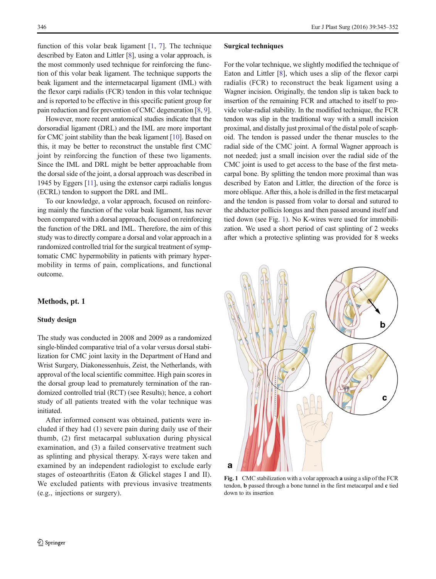function of this volar beak ligament [[1,](#page-6-0) [7](#page-6-0)]. The technique described by Eaton and Littler [\[8](#page-6-0)], using a volar approach, is the most commonly used technique for reinforcing the function of this volar beak ligament. The technique supports the beak ligament and the intermetacarpal ligament (IML) with the flexor carpi radialis (FCR) tendon in this volar technique and is reported to be effective in this specific patient group for pain reduction and for prevention of CMC degeneration [\[8](#page-6-0), [9\]](#page-6-0).

However, more recent anatomical studies indicate that the dorsoradial ligament (DRL) and the IML are more important for CMC joint stability than the beak ligament [\[10](#page-6-0)]. Based on this, it may be better to reconstruct the unstable first CMC joint by reinforcing the function of these two ligaments. Since the IML and DRL might be better approachable from the dorsal side of the joint, a dorsal approach was described in 1945 by Eggers [[11](#page-6-0)], using the extensor carpi radialis longus (ECRL) tendon to support the DRL and IML.

To our knowledge, a volar approach, focused on reinforcing mainly the function of the volar beak ligament, has never been compared with a dorsal approach, focused on reinforcing the function of the DRL and IML. Therefore, the aim of this study was to directly compare a dorsal and volar approach in a randomized controlled trial for the surgical treatment of symptomatic CMC hypermobility in patients with primary hypermobility in terms of pain, complications, and functional outcome.

#### Methods, pt. 1

#### Study design

The study was conducted in 2008 and 2009 as a randomized single-blinded comparative trial of a volar versus dorsal stabilization for CMC joint laxity in the Department of Hand and Wrist Surgery, Diakonessenhuis, Zeist, the Netherlands, with approval of the local scientific committee. High pain scores in the dorsal group lead to prematurely termination of the randomized controlled trial (RCT) (see Results); hence, a cohort study of all patients treated with the volar technique was initiated.

After informed consent was obtained, patients were included if they had (1) severe pain during daily use of their thumb, (2) first metacarpal subluxation during physical examination, and (3) a failed conservative treatment such as splinting and physical therapy. X-rays were taken and examined by an independent radiologist to exclude early stages of osteoarthritis (Eaton & Glickel stages I and II). We excluded patients with previous invasive treatments (e.g., injections or surgery).

#### Surgical techniques

For the volar technique, we slightly modified the technique of Eaton and Littler [[8\]](#page-6-0), which uses a slip of the flexor carpi radialis (FCR) to reconstruct the beak ligament using a Wagner incision. Originally, the tendon slip is taken back to insertion of the remaining FCR and attached to itself to provide volar-radial stability. In the modified technique, the FCR tendon was slip in the traditional way with a small incision proximal, and distally just proximal of the distal pole of scaphoid. The tendon is passed under the thenar muscles to the radial side of the CMC joint. A formal Wagner approach is not needed; just a small incision over the radial side of the CMC joint is used to get access to the base of the first metacarpal bone. By splitting the tendon more proximal than was described by Eaton and Littler, the direction of the force is more oblique. After this, a hole is drilled in the first metacarpal and the tendon is passed from volar to dorsal and sutured to the abductor pollicis longus and then passed around itself and tied down (see Fig. 1). No K-wires were used for immobilization. We used a short period of cast splinting of 2 weeks after which a protective splinting was provided for 8 weeks



Fig. 1 CMC stabilization with a volar approach a using a slip of the FCR tendon, b passed through a bone tunnel in the first metacarpal and c tied down to its insertion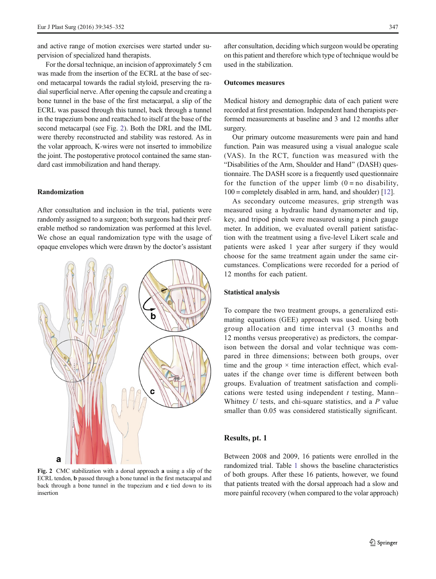and active range of motion exercises were started under supervision of specialized hand therapists.

For the dorsal technique, an incision of approximately 5 cm was made from the insertion of the ECRL at the base of second metacarpal towards the radial styloid, preserving the radial superficial nerve. After opening the capsule and creating a bone tunnel in the base of the first metacarpal, a slip of the ECRL was passed through this tunnel, back through a tunnel in the trapezium bone and reattached to itself at the base of the second metacarpal (see Fig. 2). Both the DRL and the IML were thereby reconstructed and stability was restored. As in the volar approach, K-wires were not inserted to immobilize the joint. The postoperative protocol contained the same standard cast immobilization and hand therapy.

# Randomization

After consultation and inclusion in the trial, patients were randomly assigned to a surgeon; both surgeons had their preferable method so randomization was performed at this level. We chose an equal randomization type with the usage of opaque envelopes which were drawn by the doctor's assistant



Fig. 2 CMC stabilization with a dorsal approach a using a slip of the ECRL tendon, b passed through a bone tunnel in the first metacarpal and back through a bone tunnel in the trapezium and c tied down to its insertion

## Outcomes measures

Medical history and demographic data of each patient were recorded at first presentation. Independent hand therapists performed measurements at baseline and 3 and 12 months after surgery.

Our primary outcome measurements were pain and hand function. Pain was measured using a visual analogue scale (VAS). In the RCT, function was measured with the "Disabilities of the Arm, Shoulder and Hand" (DASH) questionnaire. The DASH score is a frequently used questionnaire for the function of the upper limb  $(0 = no$  disability, 100 = completely disabled in arm, hand, and shoulder) [\[12\]](#page-6-0).

As secondary outcome measures, grip strength was measured using a hydraulic hand dynamometer and tip, key, and tripod pinch were measured using a pinch gauge meter. In addition, we evaluated overall patient satisfaction with the treatment using a five-level Likert scale and patients were asked 1 year after surgery if they would choose for the same treatment again under the same circumstances. Complications were recorded for a period of 12 months for each patient.

#### Statistical analysis

To compare the two treatment groups, a generalized estimating equations (GEE) approach was used. Using both group allocation and time interval (3 months and 12 months versus preoperative) as predictors, the comparison between the dorsal and volar technique was compared in three dimensions; between both groups, over time and the group  $\times$  time interaction effect, which evaluates if the change over time is different between both groups. Evaluation of treatment satisfaction and complications were tested using independent  $t$  testing, Mann– Whitney  $U$  tests, and chi-square statistics, and a  $P$  value smaller than 0.05 was considered statistically significant.

## Results, pt. 1

Between 2008 and 2009, 16 patients were enrolled in the randomized trial. Table [1](#page-3-0) shows the baseline characteristics of both groups. After these 16 patients, however, we found that patients treated with the dorsal approach had a slow and more painful recovery (when compared to the volar approach)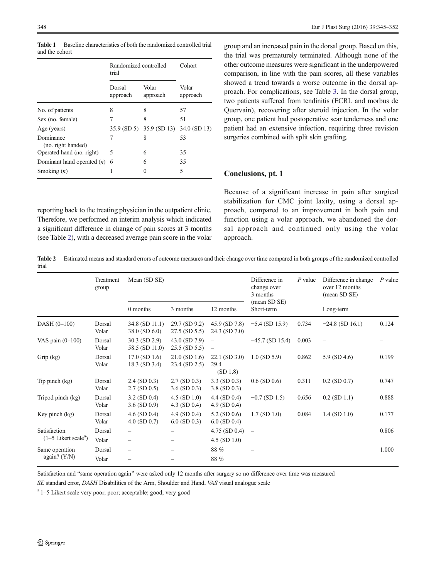|                                 | Randomized controlled<br>trial | Cohort                       |                   |  |
|---------------------------------|--------------------------------|------------------------------|-------------------|--|
|                                 | Dorsal<br>approach             | Volar<br>approach            | Volar<br>approach |  |
| No. of patients                 | 8                              | 8                            | 57                |  |
| Sex (no. female)                | 7                              | 8                            | 51                |  |
| Age (years)                     |                                | $35.9$ (SD 5) $35.9$ (SD 13) | $34.0$ (SD 13)    |  |
| Dominance<br>(no. right handed) | 7                              | 8                            | 53                |  |
| Operated hand (no. right)       | 5                              | 6                            | 35                |  |
| Dominant hand operated $(n)$ 6  |                                | 6                            | 35                |  |
| Smoking $(n)$                   | 1                              | 0                            | 5                 |  |

<span id="page-3-0"></span>Table 1 Baseline characteristics of both the randomized controlled trial and the cohort

group and an increased pain in the dorsal group. Based on this, the trial was prematurely terminated. Although none of the other outcome measures were significant in the underpowered comparison, in line with the pain scores, all these variables showed a trend towards a worse outcome in the dorsal approach. For complications, see Table [3.](#page-4-0) In the dorsal group, two patients suffered from tendinitis (ECRL and morbus de Quervain), recovering after steroid injection. In the volar group, one patient had postoperative scar tenderness and one patient had an extensive infection, requiring three revision surgeries combined with split skin grafting.

# Conclusions, pt. 1

reporting back to the treating physician in the outpatient clinic. Therefore, we performed an interim analysis which indicated a significant difference in change of pain scores at 3 months (see Table 2), with a decreased average pain score in the volar

Because of a significant increase in pain after surgical stabilization for CMC joint laxity, using a dorsal approach, compared to an improvement in both pain and function using a volar approach, we abandoned the dorsal approach and continued only using the volar approach.

Table 2 Estimated means and standard errors of outcome measures and their change over time compared in both groups of the randomized controlled trial

|                                                    | Treatment<br>group | Mean (SD SE)                      |                                     | Difference in<br>change over<br>3 months | $P$ value                  | Difference in change<br>over 12 months<br>(mean SD SE) | $P$ value         |       |
|----------------------------------------------------|--------------------|-----------------------------------|-------------------------------------|------------------------------------------|----------------------------|--------------------------------------------------------|-------------------|-------|
|                                                    |                    | 0 months                          | 3 months                            | 12 months                                | (mean SD SE)<br>Short-term |                                                        | Long-term         |       |
| $DASH (0-100)$                                     | Dorsal<br>Volar    | 34.8 (SD 11.1)<br>38.0 (SD 6.0)   | 29.7 (SD 9.2)<br>$27.5$ (SD $5.5$ ) | 45.9 (SD 7.8)<br>24.3 (SD 7.0)           | $-5.4$ (SD 15.9)           | 0.734                                                  | $-24.8$ (SD 16.1) | 0.124 |
| VAS pain $(0-100)$                                 | Dorsal<br>Volar    | $30.3$ (SD 2.9)<br>58.5 (SD 11.0) | 43.0 (SD 7.9)<br>$25.5$ (SD $5.5$ ) | $\overline{\phantom{m}}$                 | $-45.7$ (SD 15.4)          | 0.003                                                  |                   |       |
| $Grip$ (kg)                                        | Dorsal<br>Volar    | $17.0$ (SD 1.6)<br>18.3 (SD 3.4)  | $21.0$ (SD 1.6)<br>23.4 (SD 2.5)    | $22.1$ (SD $3.0$ )<br>29.4<br>(SD 1.8)   | $1.0$ (SD $5.9$ )          | 0.862                                                  | $5.9$ (SD 4.6)    | 0.199 |
| Tip pinch (kg)                                     | Dorsal<br>Volar    | $2.4$ (SD 0.3)<br>2.7(SD 0.5)     | $2.7$ (SD 0.3)<br>$3.6$ (SD 0.3)    | $3.3$ (SD 0.3)<br>$3.8$ (SD 0.3)         | $0.6$ (SD $0.6$ )          | 0.311                                                  | $0.2$ (SD $0.7$ ) | 0.747 |
| Tripod pinch (kg)                                  | Dorsal<br>Volar    | $3.2$ (SD 0.4)<br>$3.6$ (SD 0.9)  | $4.5$ (SD 1.0)<br>$4.3$ (SD 0.4)    | $4.4$ (SD 0.4)<br>$4.9$ (SD 0.4)         | $-0.7$ (SD 1.5)            | 0.656                                                  | $0.2$ (SD 1.1)    | 0.888 |
| Key pinch (kg)                                     | Dorsal<br>Volar    | $4.6$ (SD 0.4)<br>$4.0$ (SD 0.7)  | $4.9$ (SD 0.4)<br>$6.0$ (SD 0.3)    | $5.2$ (SD 0.6)<br>$6.0$ (SD 0.4)         | 1.7(SD 1.0)                | 0.084                                                  | $1.4$ (SD $1.0$ ) | 0.177 |
| Satisfaction<br>$(1-5$ Likert scale <sup>a</sup> ) | Dorsal<br>Volar    |                                   |                                     | $4.75$ (SD 0.4)<br>$4.5$ (SD 1.0)        | $\overline{\phantom{a}}$   |                                                        |                   | 0.806 |
| Same operation<br>again? $(Y/N)$                   | Dorsal<br>Volar    | $\overline{\phantom{0}}$          |                                     | 88%<br>88 %                              |                            |                                                        |                   | 1.000 |

Satisfaction and "same operation again" were asked only 12 months after surgery so no difference over time was measured

SE standard error, DASH Disabilities of the Arm, Shoulder and Hand, VAS visual analogue scale

a 1–5 Likert scale very poor; poor; acceptable; good; very good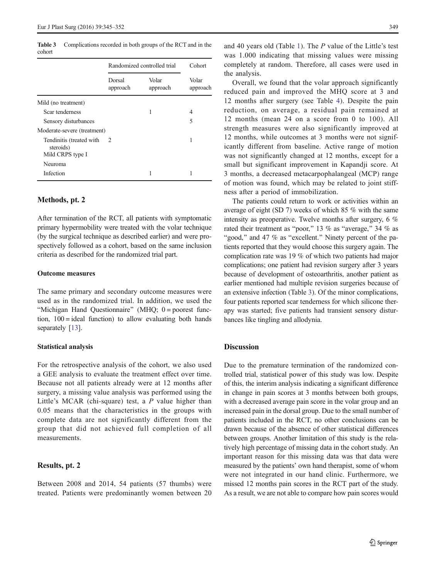<span id="page-4-0"></span>Table 3 Complications recorded in both groups of the RCT and in the cohort

|                                                           | Randomized controlled trial | Cohort            |                   |
|-----------------------------------------------------------|-----------------------------|-------------------|-------------------|
|                                                           | Dorsal<br>approach          | Volar<br>approach | Volar<br>approach |
| Mild (no treatment)                                       |                             |                   |                   |
| Scar tenderness                                           |                             | 1                 | 4                 |
| Sensory disturbances                                      |                             |                   | 5                 |
| Moderate-severe (treatment)                               |                             |                   |                   |
| Tendinitis (treated with<br>steroids)<br>Mild CRPS type I | $\mathcal{L}$               |                   | 1                 |
| Neuroma                                                   |                             |                   |                   |
| Infection                                                 |                             | 1                 |                   |

# Methods, pt. 2

After termination of the RCT, all patients with symptomatic primary hypermobility were treated with the volar technique (by the surgical technique as described earlier) and were prospectively followed as a cohort, based on the same inclusion criteria as described for the randomized trial part.

## Outcome measures

The same primary and secondary outcome measures were used as in the randomized trial. In addition, we used the "Michigan Hand Questionnaire" (MHQ;  $0 =$  poorest function,  $100 =$  ideal function) to allow evaluating both hands separately [\[13\]](#page-7-0).

#### Statistical analysis

For the retrospective analysis of the cohort, we also used a GEE analysis to evaluate the treatment effect over time. Because not all patients already were at 12 months after surgery, a missing value analysis was performed using the Little's MCAR (chi-square) test, a P value higher than 0.05 means that the characteristics in the groups with complete data are not significantly different from the group that did not achieved full completion of all measurements.

# Results, pt. 2

Between 2008 and 2014, 54 patients (57 thumbs) were treated. Patients were predominantly women between 20 and 40 years old (Table [1\)](#page-3-0). The P value of the Little's test was 1.000 indicating that missing values were missing completely at random. Therefore, all cases were used in the analysis.

Overall, we found that the volar approach significantly reduced pain and improved the MHQ score at 3 and 12 months after surgery (see Table [4\)](#page-5-0). Despite the pain reduction, on average, a residual pain remained at 12 months (mean 24 on a score from 0 to 100). All strength measures were also significantly improved at 12 months, while outcomes at 3 months were not significantly different from baseline. Active range of motion was not significantly changed at 12 months, except for a small but significant improvement in Kapandji score. At 3 months, a decreased metacarpophalangeal (MCP) range of motion was found, which may be related to joint stiffness after a period of immobilization.

The patients could return to work or activities within an average of eight (SD 7) weeks of which 85 % with the same intensity as preoperative. Twelve months after surgery, 6 % rated their treatment as "poor," 13 % as "average," 34 % as "good," and 47 % as "excellent." Ninety percent of the patients reported that they would choose this surgery again. The complication rate was 19 % of which two patients had major complications; one patient had revision surgery after 3 years because of development of osteoarthritis, another patient as earlier mentioned had multiple revision surgeries because of an extensive infection (Table 3). Of the minor complications, four patients reported scar tenderness for which silicone therapy was started; five patients had transient sensory disturbances like tingling and allodynia.

#### **Discussion**

Due to the premature termination of the randomized controlled trial, statistical power of this study was low. Despite of this, the interim analysis indicating a significant difference in change in pain scores at 3 months between both groups, with a decreased average pain score in the volar group and an increased pain in the dorsal group. Due to the small number of patients included in the RCT, no other conclusions can be drawn because of the absence of other statistical differences between groups. Another limitation of this study is the relatively high percentage of missing data in the cohort study. An important reason for this missing data was that data were measured by the patients' own hand therapist, some of whom were not integrated in our hand clinic. Furthermore, we missed 12 months pain scores in the RCT part of the study. As a result, we are not able to compare how pain scores would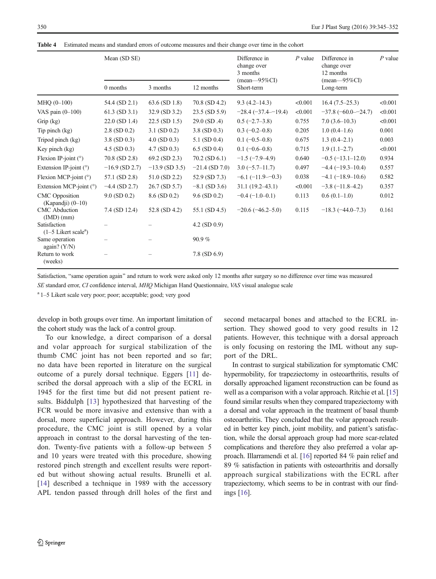<span id="page-5-0"></span>350 Eur J Plast Surg (2016) 39:345–352

|                                                    | Mean (SD SE)     |                    |                    | Difference in<br>change over<br>3 months | $P$ value | Difference in<br>change over<br>12 months | $P$ value |
|----------------------------------------------------|------------------|--------------------|--------------------|------------------------------------------|-----------|-------------------------------------------|-----------|
|                                                    | 0 months         | 3 months           | 12 months          | $(mean-95\%CI)$<br>Short-term            |           | $(mean-95\%CI)$<br>Long-term              |           |
| $MHQ (0-100)$                                      | 54.4 (SD 2.1)    | $63.6$ (SD 1.8)    | 70.8 (SD 4.2)      | $9.3(4.2 - 14.3)$                        | < 0.001   | $16.4(7.5-25.3)$                          | < 0.001   |
| VAS pain $(0-100)$                                 | $61.3$ (SD 3.1)  | $32.9$ (SD $3.2$ ) | $23.5$ (SD $5.9$ ) | $-28.4(-37.4 - 19.4)$                    | < 0.001   | $-37.8(-60.0 - 24.7)$                     | < 0.001   |
| Grip (kg)                                          | $22.0$ (SD 1.4)  | $22.5$ (SD 1.5)    | $29.0$ (SD .4)     | $0.5$ (-2.7-3.8)                         | 0.755     | $7.0(3.6-10.3)$                           | < 0.001   |
| Tip pinch $(kg)$                                   | $2.8$ (SD 0.2)   | $3.1$ (SD 0.2)     | $3.8$ (SD 0.3)     | $0.3(-0.2-0.8)$                          | 0.205     | $1.0(0.4-1.6)$                            | 0.001     |
| Tripod pinch (kg)                                  | $3.8$ (SD 0.3)   | $4.0$ (SD 0.3)     | $5.1$ (SD 0.4)     | $0.1 (-0.5 - 0.8)$                       | 0.675     | $1.3(0.4-2.1)$                            | 0.003     |
| Key pinch $(kg)$                                   | $4.5$ (SD 0.3)   | 4.7(SD 0.3)        | $6.5$ (SD 0.4)     | $0.1 (-0.6 - 0.8)$                       | 0.715     | $1.9(1.1-2.7)$                            | < 0.001   |
| Flexion IP-joint $(°)$                             | 70.8 (SD 2.8)    | 69.2 (SD 2.3)      | $70.2$ (SD 6.1)    | $-1.5(-7.9-4.9)$                         | 0.640     | $-0.5$ ( $-13.1 - 12.0$ )                 | 0.934     |
| Extension IP-joint $(°)$                           | $-16.9$ (SD 2.7) | $-13.9$ (SD 3.5)   | $-21.4$ (SD 7.0)   | $3.0(-5.7-11.7)$                         | 0.497     | $-4.4 (-19.3 - 10.4)$                     | 0.557     |
| Flexion MCP-joint $(°)$                            | 57.1 (SD 2.8)    | $51.0$ (SD 2.2)    | 52.9 (SD 7.3)      | $-6.1 (-11.9 - 0.3)$                     | 0.038     | $-4.1$ ( $-18.9-10.6$ )                   | 0.582     |
| Extension MCP-joint (°)                            | $-4.4$ (SD 2.7)  | 26.7 (SD 5.7)      | $-8.1$ (SD 3.6)    | $31.1(19.2 - 43.1)$                      | < 0.001   | $-3.8(-11.8-4.2)$                         | 0.357     |
| <b>CMC</b> Opposition<br>$(Kapandii) (0-10)$       | $9.0$ (SD 0.2)   | $8.6$ (SD 0.2)     | $9.6$ (SD 0.2)     | $-0.4 (-1.0 - 0.1)$                      | 0.113     | $0.6(0.1-1.0)$                            | 0.012     |
| <b>CMC</b> Abduction<br>(IMD)(mm)                  | 7.4 (SD 12.4)    | 52.8 (SD 4.2)      | 55.1 (SD 4.5)      | $-20.6(-46.2-5.0)$                       | 0.115     | $-18.3(-44.0-7.3)$                        | 0.161     |
| Satisfaction<br>$(1-5$ Likert scale <sup>a</sup> ) |                  |                    | $4.2$ (SD $0.9$ )  |                                          |           |                                           |           |
| Same operation<br>again? (Y/N)                     |                  |                    | 90.9%              |                                          |           |                                           |           |
| Return to work<br>(weeks)                          |                  |                    | $7.8$ (SD $6.9$ )  |                                          |           |                                           |           |

Table 4 Estimated means and standard errors of outcome measures and their change over time in the cohort

Satisfaction, "same operation again" and return to work were asked only 12 months after surgery so no difference over time was measured

SE standard error, CI confidence interval, MHQ Michigan Hand Questionnaire, VAS visual analogue scale

a 1–5 Likert scale very poor; poor; acceptable; good; very good

develop in both groups over time. An important limitation of the cohort study was the lack of a control group.

To our knowledge, a direct comparison of a dorsal and volar approach for surgical stabilization of the thumb CMC joint has not been reported and so far; no data have been reported in literature on the surgical outcome of a purely dorsal technique. Eggers [\[11\]](#page-6-0) described the dorsal approach with a slip of the ECRL in 1945 for the first time but did not present patient results. Biddulph [\[13](#page-7-0)] hypothesized that harvesting of the FCR would be more invasive and extensive than with a dorsal, more superficial approach. However, during this procedure, the CMC joint is still opened by a volar approach in contrast to the dorsal harvesting of the tendon. Twenty-five patients with a follow-up between 5 and 10 years were treated with this procedure, showing restored pinch strength and excellent results were reported but without showing actual results. Brunelli et al. [\[14\]](#page-7-0) described a technique in 1989 with the accessory APL tendon passed through drill holes of the first and second metacarpal bones and attached to the ECRL insertion. They showed good to very good results in 12 patients. However, this technique with a dorsal approach is only focusing on restoring the IML without any support of the DRL.

In contrast to surgical stabilization for symptomatic CMC hypermobility, for trapeziectomy in osteoarthritis, results of dorsally approached ligament reconstruction can be found as well as a comparison with a volar approach. Ritchie et al. [\[15](#page-7-0)] found similar results when they compared trapeziectomy with a dorsal and volar approach in the treatment of basal thumb osteoarthritis. They concluded that the volar approach resulted in better key pinch, joint mobility, and patient's satisfaction, while the dorsal approach group had more scar-related complications and therefore they also preferred a volar approach. Illarramendi et al. [\[16\]](#page-7-0) reported 84 % pain relief and 89 % satisfaction in patients with osteoarthritis and dorsally approach surgical stabilizations with the ECRL after trapeziectomy, which seems to be in contrast with our findings [\[16](#page-7-0)].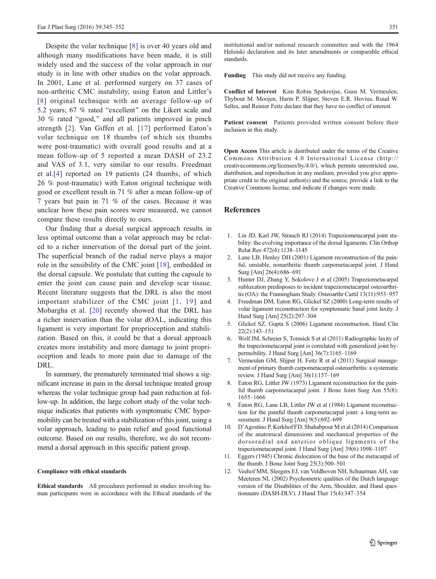<span id="page-6-0"></span>Despite the volar technique [8] is over 40 years old and although many modifications have been made, it is still widely used and the success of the volar approach in our study is in line with other studies on the volar approach. In 2001, Lane et al. performed surgery on 37 cases of non-arthritic CMC instability, using Eaton and Littler's [8] original technique with an average follow-up of 5.2 years; 67 % rated "excellent" on the Likert scale and  $30\%$  rated "good," and all patients improved in pinch strength [2]. Van Giffen et al. [[17](#page-7-0)] performed Eaton's volar technique on 18 thumbs (of which six thumbs were post-traumatic) with overall good results and at a mean follow-up of 5 reported a mean DASH of 23.2 and VAS of 3.1, very similar to our results. Freedman et al.[4] reported on 19 patients (24 thumbs, of which 26 % post-traumatic) with Eaton original technique with good or excellent result in 71 % after a mean follow-up of 7 years but pain in 71 % of the cases. Because it was unclear how these pain scores were measured, we cannot compare these results directly to ours.

Our finding that a dorsal surgical approach results in less optimal outcome than a volar approach may be related to a richer innervation of the dorsal part of the joint. The superficial branch of the radial nerve plays a major role in the sensibility of the CMC joint [[18\]](#page-7-0), embedded in the dorsal capsule. We postulate that cutting the capsule to enter the joint can cause pain and develop scar tissue. Recent literature suggests that the DRL is also the most important stabilizer of the CMC joint [1, [19\]](#page-7-0) and Mobargha et al. [[20\]](#page-7-0) recently showed that the DRL has a richer innervation than the volar dOAL, indicating this ligament is very important for proprioception and stabilization. Based on this, it could be that a dorsal approach creates more instability and more damage to joint proprioception and leads to more pain due to damage of the DRL.

In summary, the prematurely terminated trial shows a significant increase in pain in the dorsal technique treated group whereas the volar technique group had pain reduction at follow-up. In addition, the large cohort study of the volar technique indicates that patients with symptomatic CMC hypermobility can be treated with a stabilization of this joint, using a volar approach, leading to pain relief and good functional outcome. Based on our results, therefore, we do not recommend a dorsal approach in this specific patient group.

#### Compliance with ethical standards

Ethical standards All procedures performed in studies involving human participants were in accordance with the Ethical standards of the institutional and/or national research committee and with the 1964 Helsinki declaration and its later amendments or comparable ethical standards.

Funding This study did not receive any funding.

Conflict of Interest Kim Robin Spekreijse, Guus M. Vermeulen, Thybout M. Moojen, Harm P. Slijper, Steven E.R. Hovius, Ruud W. Selles, and Reinier Feitz declare that they have no conflict of interest.

Patient consent Patients provided written consent before their inclusion in this study.

Open Access This article is distributed under the terms of the Creative Commons Attribution 4.0 International License (http:// creativecommons.org/licenses/by/4.0/), which permits unrestricted use, distribution, and reproduction in any medium, provided you give appropriate credit to the original author(s) and the source, provide a link to the Creative Commons license, and indicate if changes were made.

## References

- 1. Lin JD, Karl JW, Strauch RJ (2014) Trapeziometacarpal joint stability: the evolving importance of the dorsal ligaments. Clin Orthop Relat Res 472(4):1138–1145
- 2. Lane LB, Henley DH (2001) Ligament reconstruction of the painful, unstable, nonarthritic thumb carpometacarpal joint. J Hand Surg [Am] 26(4):686–691
- 3. Hunter DJ, Zhang Y, Sokolove J et al (2005) Trapeziometacarpal subluxation predisposes to incident trapeziometacarpal osteoarthritis (OA): the Framingham Study. Osteoarthr Cartil 13(11):953–957
- 4. Freedman DM, Eaton RG, Glickel SZ (2000) Long-term results of volar ligament reconstruction for symptomatic basal joint laxity. J Hand Surg [Am] 25(2):297–304
- 5. Glickel SZ, Gupta S (2006) Ligament reconstruction. Hand Clin 22(2):143–151
- 6. Wolf JM, Schreier S, Tomsick S et al (2011) Radiographic laxity of the trapeziometacarpal joint is correlated with generalized joint hypermobility. J Hand Surg [Am] 36(7):1165–1169
- 7. Vermeulen GM, Slijper H, Feitz R et al (2011) Surgical management of primary thumb carpometacarpal osteoarthritis: a systematic review. J Hand Surg [Am] 36(1):157–169
- 8. Eaton RG, Littler JW (1973) Ligament reconstruction for the painful thumb carpometacarpal joint. J Bone Joint Surg Am 55(8): 1655–1666
- 9. Eaton RG, Lane LB, Littler JW et al (1984) Ligament reconstruction for the painful thumb carpometacarpal joint: a long-term assessment. J Hand Surg [Am] 9(5):692–699
- 10. D'Agostino P, Kerkhof FD, Shahabpour M et al (2014) Comparison of the anatomical dimensions and mechanical properties of the dorsoradial and anterior oblique ligaments of the trapeziometacarpal joint. J Hand Surg [Am] 39(6):1098–1107
- 11. Eggers (1945) Chronic dislocation of the base of the metacarpal of the thumb. J Bone Joint Surg 25(3):500–501
- 12. Veehof MM, Sleegers EJ, van Veldhoven NH, Schuurman AH, van Meeteren NL (2002) Psychometric qualities of the Dutch language version of the Disabilities of the Arm, Shoulder, and Hand questionnaire (DASH-DLV). J Hand Ther 15(4):347–354